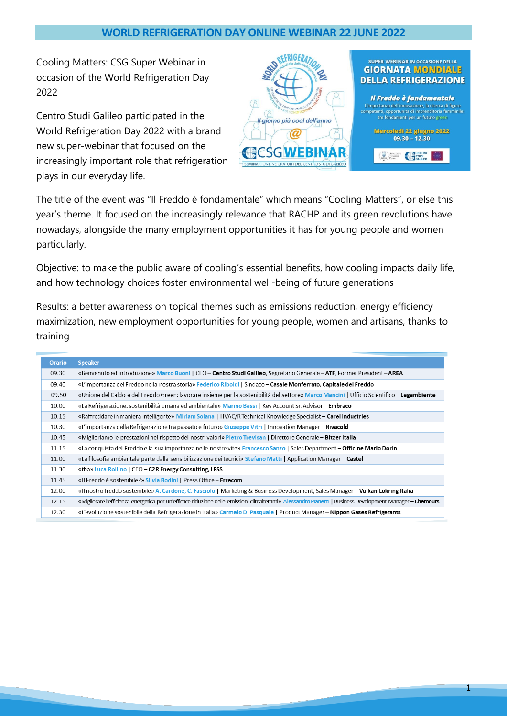## **WORLD REFRIGERATION DAY ONLINE WEBINAR 22 JUNE 2022**

Cooling Matters: CSG Super Webinar in occasion of the World Refrigeration Day 2022

Centro Studi Galileo participated in the World Refrigeration Day 2022 with a brand new super-webinar that focused on the increasingly important role that refrigeration plays in our everyday life.



The title of the event was "Il Freddo è fondamentale" which means "Cooling Matters", or else this year's theme. It focused on the increasingly relevance that RACHP and its green revolutions have nowadays, alongside the many employment opportunities it has for young people and women particularly.

Objective: to make the public aware of cooling's essential benefits, how cooling impacts daily life, and how technology choices foster environmental well-being of future generations

Results: a better awareness on topical themes such as emissions reduction, energy efficiency maximization, new employment opportunities for young people, women and artisans, thanks to training

| <b>Orario</b> | <b>Speaker</b>                                                                                                                                             |
|---------------|------------------------------------------------------------------------------------------------------------------------------------------------------------|
| 09.30         | «Benvenuto ed introduzione» Marco Buoni   CEO - Centro Studi Galileo, Segretario Generale - ATF, Former President - AREA                                   |
| 09.40         | «L'importanza del Freddo nella nostra storia» Federico Riboldi   Sindaco - Casale Monferrato, Capitale del Freddo                                          |
| 09.50         | «Unione del Caldo e del Freddo Green: lavorare insieme per la sostenibilità del settore» Marco Mancini   Ufficio Scientifico – Legambiente                 |
| 10.00         | «La Refrigerazione: sostenibilità umana ed ambientale» Marino Bassi   Key Account Sr. Advisor - Embraco                                                    |
| 10.15         | «Raffreddare in maniera intelligente» Miriam Solana   HVAC/R Technical Knowledge Specialist - Carel Industries                                             |
| 10.30         | «L'importanza della Refrigerazione tra passato e futuro» Giuseppe Vitri   Innovation Manager – Rivacold                                                    |
| 10.45         | «Miglioriamo le prestazioni nel rispetto dei nostri valori» Pietro Trevisan   Direttore Generale - Bitzer Italia                                           |
| 11.15         | «La conquista del Freddo e la sua importanza nelle nostre vite» Francesco Sanzo   Sales Department - Officine Mario Dorin                                  |
| 11.00         | «La filosofia ambientale parte dalla sensibilizzazione dei tecnici» Stefano Matti   Application Manager - Castel                                           |
| 11.30         | «tba» Luca Rollino   CEO - C2R Energy Consulting, LESS                                                                                                     |
| 11.45         | «Il Freddo è sostenibile?» Silvia Bodini   Press Office – Errecom                                                                                          |
| 12.00         | «Il nostro freddo sostenibile» A. Cardone, C. Fasciolo   Marketing & Business Development, Sales Manager - Vulkan Lokring Italia                           |
| 12.15         | «Migliorare l'efficienza energetica per un'efficace riduzione delle emissioni climalteranti» Alessandro Pianetti   Business Development Manager - Chemours |
| 12.30         | «L'evoluzione sostenibile della Refrigerazione in Italia» Carmelo Di Pasquale   Product Manager – Nippon Gases Refrigerants                                |